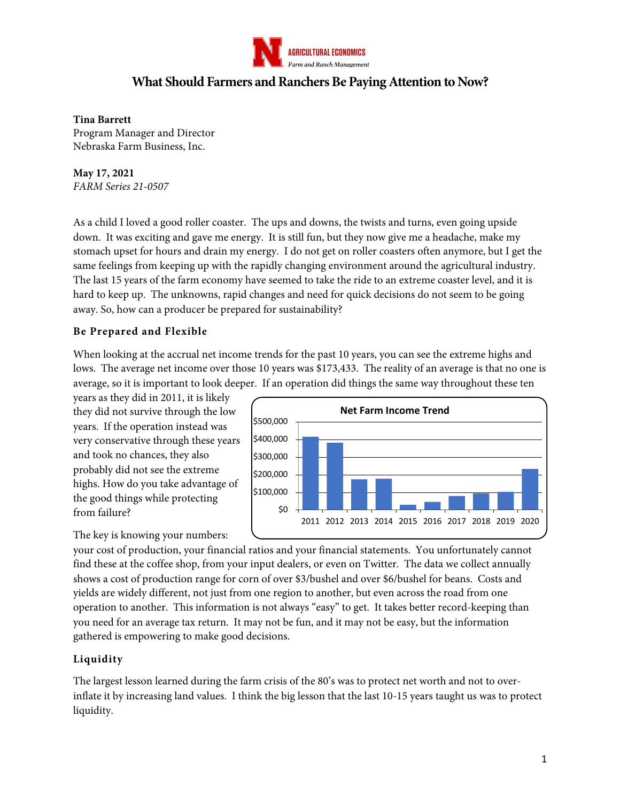

# **What Should Farmers and Ranchers Be Paying Attention to Now?**

#### **Tina Barrett**

Program Manager and Director Nebraska Farm Business, Inc.

#### **May 17, 2021** *FARM Series 21-0507*

As a child I loved a good roller coaster. The ups and downs, the twists and turns, even going upside down. It was exciting and gave me energy. It is still fun, but they now give me a headache, make my stomach upset for hours and drain my energy. I do not get on roller coasters often anymore, but I get the same feelings from keeping up with the rapidly changing environment around the agricultural industry. The last 15 years of the farm economy have seemed to take the ride to an extreme coaster level, and it is hard to keep up. The unknowns, rapid changes and need for quick decisions do not seem to be going away. So, how can a producer be prepared for sustainability?

## **Be Prepared and Flexible**

When looking at the accrual net income trends for the past 10 years, you can see the extreme highs and lows. The average net income over those 10 years was \$173,433. The reality of an average is that no one is average, so it is important to look deeper. If an operation did things the same way throughout these ten

years as they did in 2011, it is likely they did not survive through the low years. If the operation instead was very conservative through these years and took no chances, they also probably did not see the extreme highs. How do you take advantage of the good things while protecting from failure?



The key is knowing your numbers:

your cost of production, your financial ratios and your financial statements. You unfortunately cannot find these at the coffee shop, from your input dealers, or even on Twitter. The data we collect annually shows a cost of production range for corn of over \$3/bushel and over \$6/bushel for beans. Costs and yields are widely different, not just from one region to another, but even across the road from one operation to another. This information is not always "easy" to get. It takes better record-keeping than you need for an average tax return. It may not be fun, and it may not be easy, but the information gathered is empowering to make good decisions.

## **Liquidity**

The largest lesson learned during the farm crisis of the 80's was to protect net worth and not to overinflate it by increasing land values. I think the big lesson that the last 10-15 years taught us was to protect liquidity.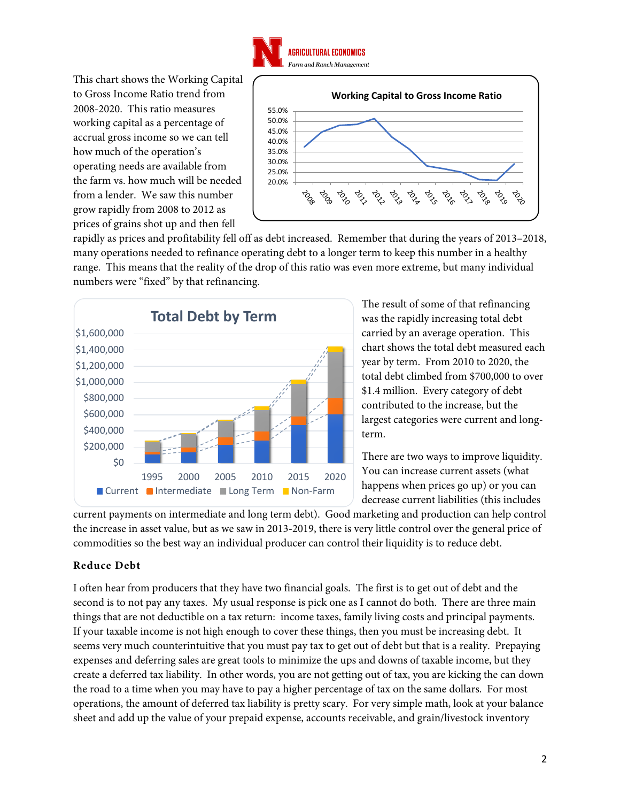

This chart shows the Working Capital to Gross Income Ratio trend from 2008-2020. This ratio measures working capital as a percentage of accrual gross income so we can tell how much of the operation's operating needs are available from the farm vs. how much will be needed from a lender. We saw this number grow rapidly from 2008 to 2012 as prices of grains shot up and then fell



rapidly as prices and profitability fell off as debt increased. Remember that during the years of 2013–2018, many operations needed to refinance operating debt to a longer term to keep this number in a healthy range. This means that the reality of the drop of this ratio was even more extreme, but many individual numbers were "fixed" by that refinancing.



The result of some of that refinancing was the rapidly increasing total debt carried by an average operation. This chart shows the total debt measured each year by term. From 2010 to 2020, the total debt climbed from \$700,000 to over \$1.4 million. Every category of debt contributed to the increase, but the largest categories were current and longterm.

There are two ways to improve liquidity. You can increase current assets (what happens when prices go up) or you can decrease current liabilities (this includes

current payments on intermediate and long term debt). Good marketing and production can help control the increase in asset value, but as we saw in 2013-2019, there is very little control over the general price of commodities so the best way an individual producer can control their liquidity is to reduce debt.

## **Reduce Debt**

I often hear from producers that they have two financial goals. The first is to get out of debt and the second is to not pay any taxes. My usual response is pick one as I cannot do both. There are three main things that are not deductible on a tax return: income taxes, family living costs and principal payments. If your taxable income is not high enough to cover these things, then you must be increasing debt. It seems very much counterintuitive that you must pay tax to get out of debt but that is a reality. Prepaying expenses and deferring sales are great tools to minimize the ups and downs of taxable income, but they create a deferred tax liability. In other words, you are not getting out of tax, you are kicking the can down the road to a time when you may have to pay a higher percentage of tax on the same dollars. For most operations, the amount of deferred tax liability is pretty scary. For very simple math, look at your balance sheet and add up the value of your prepaid expense, accounts receivable, and grain/livestock inventory